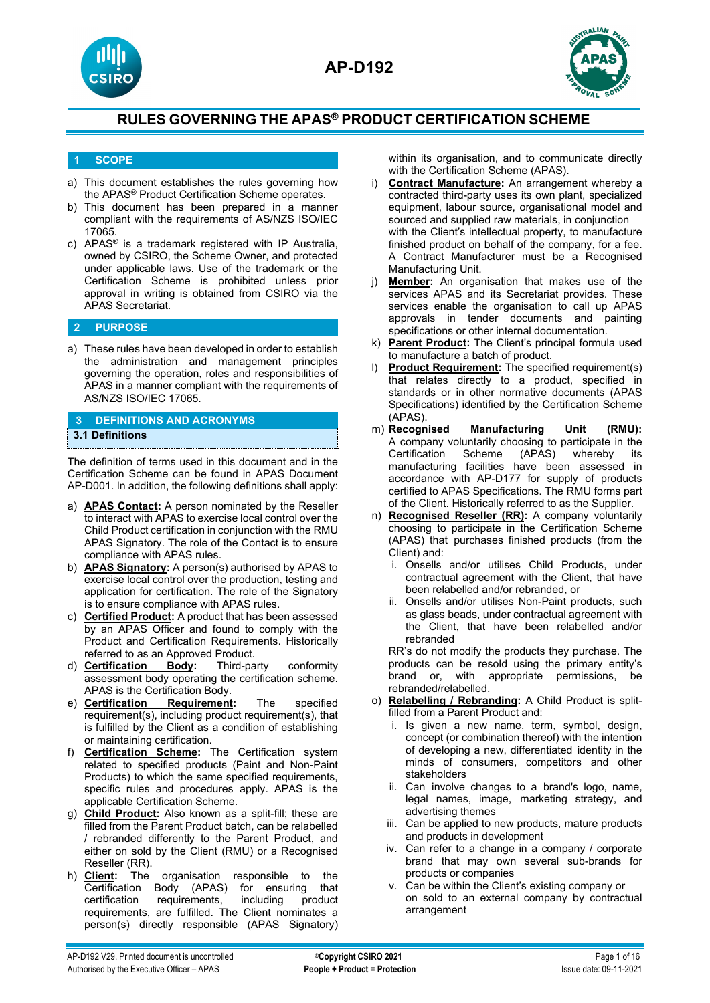



## **1 SCOPE**

- a) This document establishes the rules governing how the APAS® Product Certification Scheme operates.
- b) This document has been prepared in a manner compliant with the requirements of AS/NZS ISO/IEC 17065.
- c) APAS® is a trademark registered with IP Australia, owned by CSIRO, the Scheme Owner, and protected under applicable laws. Use of the trademark or the Certification Scheme is prohibited unless prior approval in writing is obtained from CSIRO via the APAS Secretariat.

## **2 PURPOSE**

a) These rules have been developed in order to establish the administration and management principles governing the operation, roles and responsibilities of APAS in a manner compliant with the requirements of AS/NZS ISO/IEC 17065.

## **3 DEFINITIONS AND ACRONYMS**

#### **3.1 Definitions**

The definition of terms used in this document and in the Certification Scheme can be found in APAS Document AP-D001. In addition, the following definitions shall apply:

- a) **APAS Contact:** A person nominated by the Reseller to interact with APAS to exercise local control over the Child Product certification in conjunction with the RMU APAS Signatory. The role of the Contact is to ensure compliance with APAS rules.
- b) **APAS Signatory:** A person(s) authorised by APAS to exercise local control over the production, testing and application for certification. The role of the Signatory is to ensure compliance with APAS rules.
- c) **Certified Product:** A product that has been assessed by an APAS Officer and found to comply with the Product and Certification Requirements. Historically
- referred to as an Approved Product.<br>**Certification** Body: Third-party d) **Certification Body:** Third-party conformity assessment body operating the certification scheme. APAS is the Certification Body.<br>Certification Requirement:
- e) **Certification Requirement:** The specified requirement(s), including product requirement(s), that is fulfilled by the Client as a condition of establishing or maintaining certification.
- f) **Certification Scheme:** The Certification system related to specified products (Paint and Non-Paint Products) to which the same specified requirements, specific rules and procedures apply. APAS is the applicable Certification Scheme.
- g) **Child Product:** Also known as a split-fill; these are filled from the Parent Product batch, can be relabelled / rebranded differently to the Parent Product, and either on sold by the Client (RMU) or a Recognised Reseller (RR).
- h) **Client:** The organisation responsible to the (APAS) for ensuring that<br>ements, including product certification requirements, including requirements, are fulfilled. The Client nominates a person(s) directly responsible (APAS Signatory)

within its organisation, and to communicate directly with the Certification Scheme (APAS).

- i) **Contract Manufacture:** An arrangement whereby a contracted third-party uses its own plant, specialized equipment, labour source, organisational model and sourced and supplied raw materials, in conjunction with the Client's intellectual property, to manufacture finished product on behalf of the company, for a fee. A Contract Manufacturer must be a Recognised Manufacturing Unit.
- j) **Member:** An organisation that makes use of the services APAS and its Secretariat provides. These services enable the organisation to call up APAS approvals in tender documents and painting specifications or other internal documentation.
- k) **Parent Product:** The Client's principal formula used to manufacture a batch of product.
- l) **Product Requirement:** The specified requirement(s) that relates directly to a product, specified in standards or in other normative documents (APAS Specifications) identified by the Certification Scheme
- (APAS).<br>m) **Recognised Manufacturing Unit (RMU):** A company voluntarily choosing to participate in the Certification Scheme (APAS) whereby its manufacturing facilities have been assessed in accordance with AP-D177 for supply of products certified to APAS Specifications. The RMU forms part of the Client. Historically referred to as the Supplier.
- n) **Recognised Reseller (RR):** A company voluntarily choosing to participate in the Certification Scheme (APAS) that purchases finished products (from the Client) and:
	- i. Onsells and/or utilises Child Products, under contractual agreement with the Client, that have been relabelled and/or rebranded, or
	- ii. Onsells and/or utilises Non-Paint products, such as glass beads, under contractual agreement with the Client, that have been relabelled and/or rebranded

RR's do not modify the products they purchase. The products can be resold using the primary entity's brand or, with appropriate permissions, be rebranded/relabelled.

- o) **Relabelling / Rebranding:** A Child Product is splitfilled from a Parent Product and:
	- i. Is given a new name, term, symbol, design, concept (or combination thereof) with the intention of developing a new, differentiated identity in the minds of consumers, competitors and other stakeholders
	- ii. Can involve changes to a brand's logo, name, legal names, image, marketing strategy, and advertising themes
	- iii. Can be applied to new products, mature products and products in development
	- iv. Can refer to a change in a company / corporate brand that may own several sub-brands for products or companies
	- v. Can be within the Client's existing company or on sold to an external company by contractual arrangement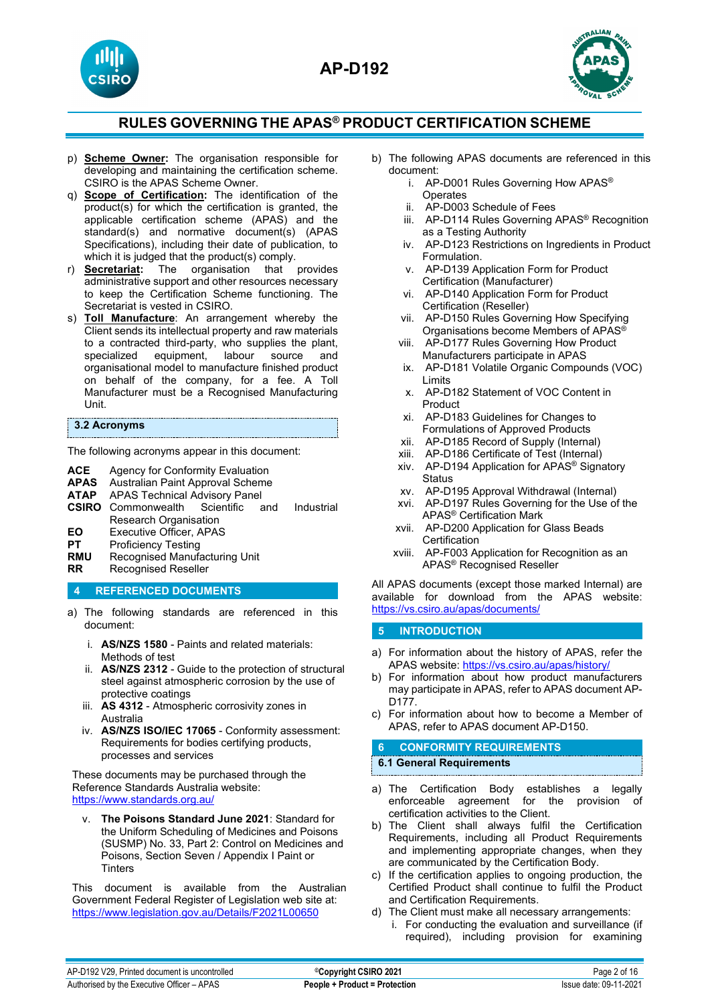



- p) **Scheme Owner:** The organisation responsible for developing and maintaining the certification scheme. CSIRO is the APAS Scheme Owner.
- q) **Scope of Certification:** The identification of the product(s) for which the certification is granted, the applicable certification scheme (APAS) and the standard(s) and normative document(s) (APAS Specifications), including their date of publication, to which it is judged that the product(s) comply.
- r) **Secretariat:** The organisation that provides administrative support and other resources necessary to keep the Certification Scheme functioning. The Secretariat is vested in CSIRO.
- s) **Toll Manufacture**: An arrangement whereby the Client sends its intellectual property and raw materials to a contracted third-party, who supplies the plant, specialized equipment, labour source and equipment, organisational model to manufacture finished product on behalf of the company, for a fee. A Toll Manufacturer must be a Recognised Manufacturing Unit.

#### **3.2 Acronyms**

The following acronyms appear in this document:

- **ACE** Agency for Conformity Evaluation<br>**APAS** Australian Paint Approval Scheme
- **APAS** Australian Paint Approval Scheme
- APAS Technical Advisory Panel<br>Commonwealth Scientific and
- **CSIRO** Commonwealth Scientific and Industrial Research Organisation
- **EO** Executive Officer, APAS<br>**PT** Proficiency Testing
- **PT** Proficiency Testing<br> **RMU** Recognised Manufa
- **RMU** Recognised Manufacturing Unit<br>**RR** Recognised Reseller
- **Recognised Reseller**

## **4 REFERENCED DOCUMENTS**

- a) The following standards are referenced in this document:
	- i. **AS/NZS 1580** Paints and related materials: Methods of test
	- ii. **AS/NZS 2312** Guide to the protection of structural steel against atmospheric corrosion by the use of protective coatings
	- iii. **AS 4312** Atmospheric corrosivity zones in Australia
	- iv. **AS/NZS ISO/IEC 17065** Conformity assessment: Requirements for bodies certifying products, processes and services

These documents may be purchased through the Reference Standards Australia website: <https://www.standards.org.au/>

v. **The Poisons Standard June 2021**: Standard for the Uniform Scheduling of Medicines and Poisons (SUSMP) No. 33, Part 2: Control on Medicines and Poisons, Section Seven / Appendix I Paint or **Tinters** 

This document is available from the Australian Government Federal Register of Legislation web site at: <https://www.legislation.gov.au/Details/F2021L00650>

- b) The following APAS documents are referenced in this document:
	- i. AP-D001 Rules Governing How APAS® **Operates**
	- ii. AP-D003 Schedule of Fees
	- iii. AP-D114 Rules Governing APAS® Recognition as a Testing Authority
	- iv. AP-D123 Restrictions on Ingredients in Product Formulation.
	- v. AP-D139 Application Form for Product Certification (Manufacturer)
	- vi. AP-D140 Application Form for Product Certification (Reseller)
	- vii. AP-D150 Rules Governing How Specifying Organisations become Members of APAS®
	- viii. AP-D177 Rules Governing How Product Manufacturers participate in APAS
	- ix. AP-D181 Volatile Organic Compounds (VOC) Limits
	- x. AP-D182 Statement of VOC Content in Product
	- xi. AP-D183 Guidelines for Changes to Formulations of Approved Products
	- xii. AP-D185 Record of Supply (Internal)
	- xiii. AP-D186 Certificate of Test (Internal)
	- xiv. AP-D194 Application for APAS® Signatory **Status**
	- xv. AP-D195 Approval Withdrawal (Internal)
	- xvi. AP-D197 Rules Governing for the Use of the APAS® Certification Mark
	- xvii. AP-D200 Application for Glass Beads **Certification**
	- xviii. AP-F003 Application for Recognition as an APAS® Recognised Reseller

All APAS documents (except those marked Internal) are available for download from the APAS website: <https://vs.csiro.au/apas/documents/>

## **5 INTRODUCTION**

- a) For information about the history of APAS, refer the APAS website: <https://vs.csiro.au/apas/history/>
- b) For information about how product manufacturers may participate in APAS, refer to APAS document AP-D<sub>177</sub>.
- c) For information about how to become a Member of APAS, refer to APAS document AP-D150.

## **6 CONFORMITY REQUIREMENTS**

## **6.1 General Requirements**

- a) The Certification Body establishes a legally enforceable agreement for the provision of certification activities to the Client.
- b) The Client shall always fulfil the Certification Requirements, including all Product Requirements and implementing appropriate changes, when they are communicated by the Certification Body.
- c) If the certification applies to ongoing production, the Certified Product shall continue to fulfil the Product and Certification Requirements.
- d) The Client must make all necessary arrangements:
	- i. For conducting the evaluation and surveillance (if required), including provision for examining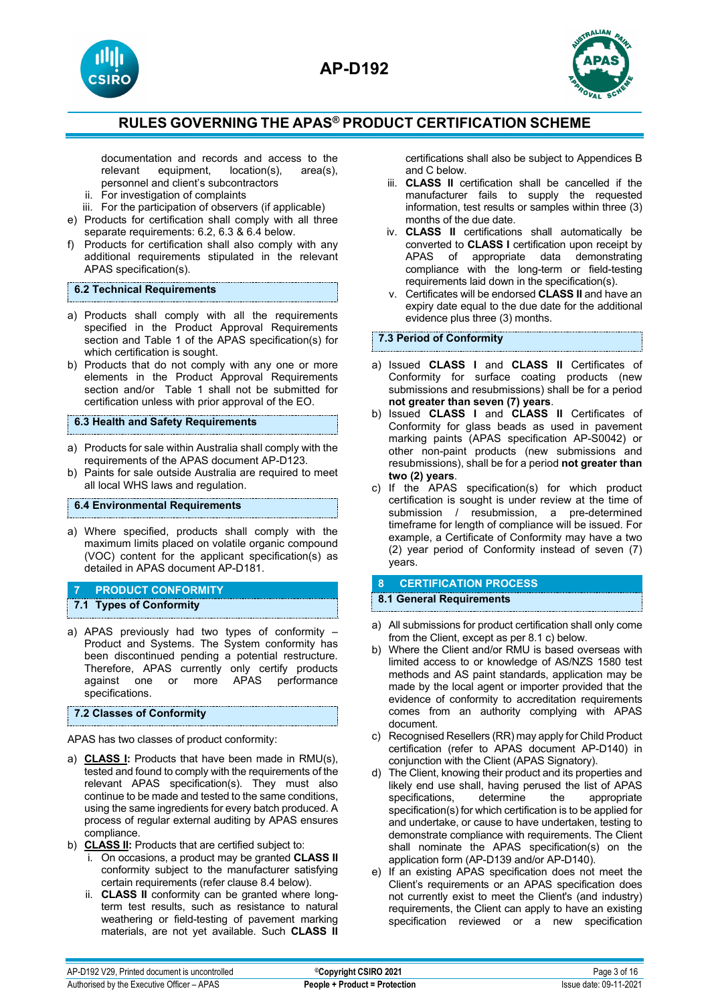





documentation and records and access to the relevant equipment, location(s), area(s), location(s), personnel and client's subcontractors

- ii. For investigation of complaints
- iii. For the participation of observers (if applicable)
- e) Products for certification shall comply with all three separate requirements: 6.2, 6.3 & 6.4 below.
- f) Products for certification shall also comply with any additional requirements stipulated in the relevant APAS specification(s).

## **6.2 Technical Requirements**

- a) Products shall comply with all the requirements specified in the Product Approval Requirements section and Table 1 of the APAS specification(s) for which certification is sought.
- b) Products that do not comply with any one or more elements in the Product Approval Requirements section and/or Table 1 shall not be submitted for certification unless with prior approval of the EO.

## **6.3 Health and Safety Requirements**

- a) Products for sale within Australia shall comply with the requirements of the APAS document AP-D123.
- b) Paints for sale outside Australia are required to meet all local WHS laws and regulation.

## **6.4 Environmental Requirements**

a) Where specified, products shall comply with the maximum limits placed on volatile organic compound (VOC) content for the applicant specification(s) as detailed in APAS document AP-D181.

## **7 PRODUCT CONFORMITY**

## **7.1 Types of Conformity**

a) APAS previously had two types of conformity – Product and Systems. The System conformity has been discontinued pending a potential restructure. Therefore, APAS currently only certify products against one or more APAS performance specifications.

## **7.2 Classes of Conformity**

APAS has two classes of product conformity:

- a) **CLASS I:** Products that have been made in RMU(s), tested and found to comply with the requirements of the relevant APAS specification(s). They must also continue to be made and tested to the same conditions, using the same ingredients for every batch produced. A process of regular external auditing by APAS ensures compliance.
- b) **CLASS II:** Products that are certified subject to:
	- i. On occasions, a product may be granted **CLASS II** conformity subject to the manufacturer satisfying certain requirements (refer clause 8.4 below).
	- ii. **CLASS II** conformity can be granted where longterm test results, such as resistance to natural weathering or field-testing of pavement marking materials, are not yet available. Such **CLASS II**

certifications shall also be subject to Appendices B and C below.

- iii. **CLASS II** certification shall be cancelled if the manufacturer fails to supply the requested information, test results or samples within three (3) months of the due date.
- iv. **CLASS II** certifications shall automatically be converted to **CLASS I** certification upon receipt by APAS of appropriate data demonstrating compliance with the long-term or field-testing requirements laid down in the specification(s).
- v. Certificates will be endorsed **CLASS II** and have an expiry date equal to the due date for the additional evidence plus three (3) months.

## **7.3 Period of Conformity**

- a) Issued **CLASS I** and **CLASS II** Certificates of Conformity for surface coating products (new submissions and resubmissions) shall be for a period **not greater than seven (7) years**.
- b) Issued **CLASS I** and **CLASS II** Certificates of Conformity for glass beads as used in pavement marking paints (APAS specification AP-S0042) or other non-paint products (new submissions and resubmissions), shall be for a period **not greater than two (2) years**.
- c) If the APAS specification(s) for which product certification is sought is under review at the time of submission / resubmission, a pre-determined timeframe for length of compliance will be issued. For example, a Certificate of Conformity may have a two (2) year period of Conformity instead of seven (7) years.

## **8 CERTIFICATION PROCESS**

## **8.1 General Requirements**

- a) All submissions for product certification shall only come from the Client, except as per 8.1 c) below.
- b) Where the Client and/or RMU is based overseas with limited access to or knowledge of AS/NZS 1580 test methods and AS paint standards, application may be made by the local agent or importer provided that the evidence of conformity to accreditation requirements comes from an authority complying with APAS document.
- c) Recognised Resellers (RR) may apply for Child Product certification (refer to APAS document AP-D140) in conjunction with the Client (APAS Signatory).
- d) The Client, knowing their product and its properties and likely end use shall, having perused the list of APAS specifications, determine the appropriate specification(s) for which certification is to be applied for and undertake, or cause to have undertaken, testing to demonstrate compliance with requirements. The Client shall nominate the APAS specification(s) on the application form (AP-D139 and/or AP-D140).
- e) If an existing APAS specification does not meet the Client's requirements or an APAS specification does not currently exist to meet the Client's (and industry) requirements, the Client can apply to have an existing specification reviewed or a new specification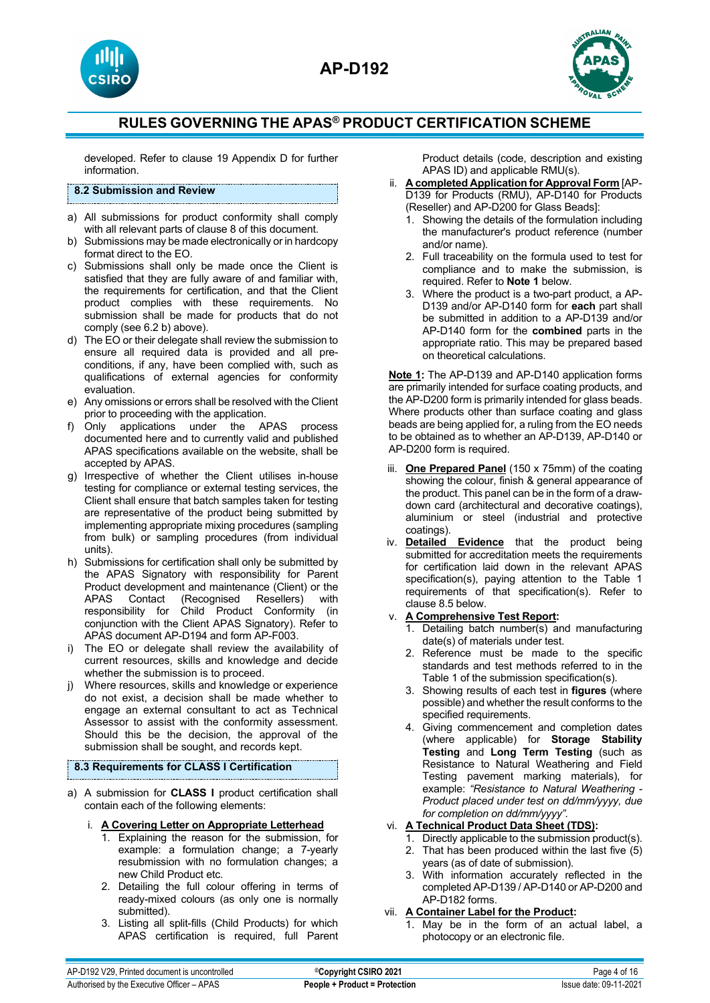



developed. Refer to clause 19 Appendix D for further information.

## **8.2 Submission and Review**

- a) All submissions for product conformity shall comply with all relevant parts of clause 8 of this document.
- b) Submissions may be made electronically or in hardcopy format direct to the EO.
- c) Submissions shall only be made once the Client is satisfied that they are fully aware of and familiar with, the requirements for certification, and that the Client product complies with these requirements. No submission shall be made for products that do not comply (see 6.2 b) above).
- d) The EO or their delegate shall review the submission to ensure all required data is provided and all preconditions, if any, have been complied with, such as qualifications of external agencies for conformity evaluation.
- e) Any omissions or errors shall be resolved with the Client prior to proceeding with the application.
- f) Only applications under the APAS process documented here and to currently valid and published APAS specifications available on the website, shall be accepted by APAS.
- g) Irrespective of whether the Client utilises in-house testing for compliance or external testing services, the Client shall ensure that batch samples taken for testing are representative of the product being submitted by implementing appropriate mixing procedures (sampling from bulk) or sampling procedures (from individual units).
- h) Submissions for certification shall only be submitted by the APAS Signatory with responsibility for Parent Product development and maintenance (Client) or the<br>APAS Contact (Recognised Resellers) with (Recognised Resellers) with responsibility for Child Product Conformity (in conjunction with the Client APAS Signatory). Refer to APAS document AP-D194 and form AP-F003.
- i) The EO or delegate shall review the availability of current resources, skills and knowledge and decide whether the submission is to proceed.
- j) Where resources, skills and knowledge or experience do not exist, a decision shall be made whether to engage an external consultant to act as Technical Assessor to assist with the conformity assessment. Should this be the decision, the approval of the submission shall be sought, and records kept.

## **8.3 Requirements for CLASS I Certification**

- a) A submission for **CLASS I** product certification shall contain each of the following elements:
	- i. **A Covering Letter on Appropriate Letterhead**
		- 1. Explaining the reason for the submission, for example: a formulation change; a 7-yearly resubmission with no formulation changes; a new Child Product etc.
		- 2. Detailing the full colour offering in terms of ready-mixed colours (as only one is normally submitted).
		- 3. Listing all split-fills (Child Products) for which APAS certification is required, full Parent

Product details (code, description and existing APAS ID) and applicable RMU(s).

- ii. **A completed Application for Approval Form** [AP-D139 for Products (RMU), AP-D140 for Products (Reseller) and AP-D200 for Glass Beads]:
	- 1. Showing the details of the formulation including the manufacturer's product reference (number and/or name).
	- 2. Full traceability on the formula used to test for compliance and to make the submission, is required. Refer to **Note 1** below.
	- 3. Where the product is a two-part product, a AP-D139 and/or AP-D140 form for **each** part shall be submitted in addition to a AP-D139 and/or AP-D140 form for the **combined** parts in the appropriate ratio. This may be prepared based on theoretical calculations.

**Note 1:** The AP-D139 and AP-D140 application forms are primarily intended for surface coating products, and the AP-D200 form is primarily intended for glass beads. Where products other than surface coating and glass beads are being applied for, a ruling from the EO needs to be obtained as to whether an AP-D139, AP-D140 or AP-D200 form is required.

- iii. **One Prepared Panel** (150 x 75mm) of the coating showing the colour, finish & general appearance of the product. This panel can be in the form of a drawdown card (architectural and decorative coatings), aluminium or steel (industrial and protective coatings).
- iv. **Detailed Evidence** that the product being submitted for accreditation meets the requirements for certification laid down in the relevant APAS specification(s), paying attention to the Table 1 requirements of that specification(s). Refer to clause 8.5 below.
- v. **A Comprehensive Test Report:**
	- 1. Detailing batch number(s) and manufacturing date(s) of materials under test.
	- 2. Reference must be made to the specific standards and test methods referred to in the Table 1 of the submission specification(s).
	- 3. Showing results of each test in **figures** (where possible) and whether the result conforms to the specified requirements.
	- 4. Giving commencement and completion dates (where applicable) for **Storage Stability Testing** and **Long Term Testing** (such as Resistance to Natural Weathering and Field Testing pavement marking materials), for example: *"Resistance to Natural Weathering - Product placed under test on dd/mm/yyyy, due for completion on dd/mm/yyyy".*

## vi. **A Technical Product Data Sheet (TDS):**

- 1. Directly applicable to the submission product(s).
- 2. That has been produced within the last five (5) years (as of date of submission).
- 3. With information accurately reflected in the completed AP-D139 / AP-D140 or AP-D200 and AP-D182 forms.

## vii. **A Container Label for the Product:**

1. May be in the form of an actual label, a photocopy or an electronic file.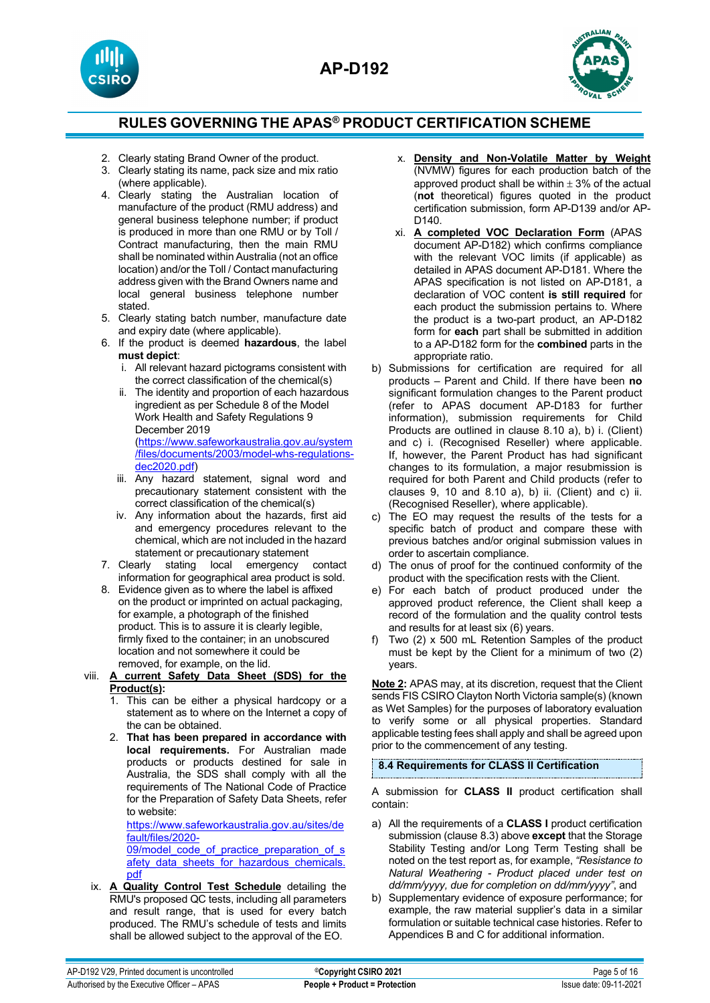



- 2. Clearly stating Brand Owner of the product.
- 3. Clearly stating its name, pack size and mix ratio (where applicable).
- 4. Clearly stating the Australian location of manufacture of the product (RMU address) and general business telephone number; if product is produced in more than one RMU or by Toll / Contract manufacturing, then the main RMU shall be nominated within Australia (not an office location) and/or the Toll / Contact manufacturing address given with the Brand Owners name and local general business telephone number stated.
- 5. Clearly stating batch number, manufacture date and expiry date (where applicable).
- 6. If the product is deemed **hazardous**, the label **must depict**:
	- i. All relevant hazard pictograms consistent with the correct classification of the chemical(s)
	- ii. The identity and proportion of each hazardous ingredient as per Schedule 8 of the Model Work Health and Safety Regulations 9 December 2019 [\(https://www.safeworkaustralia.gov.au/system](https://www.safeworkaustralia.gov.au/system/files/documents/2003/model-whs-regulations-dec2020.pdf) [/files/documents/2003/model-whs-regulations](https://www.safeworkaustralia.gov.au/system/files/documents/2003/model-whs-regulations-dec2020.pdf)[dec2020.pdf\)](https://www.safeworkaustralia.gov.au/system/files/documents/2003/model-whs-regulations-dec2020.pdf)
	- iii. Any hazard statement, signal word and precautionary statement consistent with the correct classification of the chemical(s)
- iv. Any information about the hazards, first aid and emergency procedures relevant to the chemical, which are not included in the hazard statement or precautionary statement<br>7. Clearly stating local emergency
- stating local emergency contact information for geographical area product is sold.
- 8. Evidence given as to where the label is affixed on the product or imprinted on actual packaging, for example, a photograph of the finished product. This is to assure it is clearly legible, firmly fixed to the container; in an unobscured location and not somewhere it could be removed, for example, on the lid.
- viii. **A current Safety Data Sheet (SDS) for the Product(s):**
	- 1. This can be either a physical hardcopy or a statement as to where on the Internet a copy of the can be obtained.
	- 2. **That has been prepared in accordance with local requirements.** For Australian made products or products destined for sale in Australia, the SDS shall comply with all the requirements of The National Code of Practice for the Preparation of Safety Data Sheets, refer to website:

[https://www.safeworkaustralia.gov.au/sites/de](https://www.safeworkaustralia.gov.au/sites/default/files/2020-09/model_code_of_practice_preparation_of_safety_data_sheets_for_hazardous_chemicals.pdf) [fault/files/2020-](https://www.safeworkaustralia.gov.au/sites/default/files/2020-09/model_code_of_practice_preparation_of_safety_data_sheets_for_hazardous_chemicals.pdf)

09/model code of practice preparation of s afety data sheets for hazardous chemicals. [pdf](https://www.safeworkaustralia.gov.au/sites/default/files/2020-09/model_code_of_practice_preparation_of_safety_data_sheets_for_hazardous_chemicals.pdf)

ix. **A Quality Control Test Schedule** detailing the RMU's proposed QC tests, including all parameters and result range, that is used for every batch produced. The RMU's schedule of tests and limits shall be allowed subject to the approval of the EO.

- x. **Density and Non-Volatile Matter by Weight** (NVMW) figures for each production batch of the approved product shall be within  $\pm$  3% of the actual (**not** theoretical) figures quoted in the product certification submission, form AP-D139 and/or AP-D140.
- xi. **A completed VOC Declaration Form** (APAS document AP-D182) which confirms compliance with the relevant VOC limits (if applicable) as detailed in APAS document AP-D181. Where the APAS specification is not listed on AP-D181, a declaration of VOC content **is still required** for each product the submission pertains to. Where the product is a two-part product, an AP-D182 form for **each** part shall be submitted in addition to a AP-D182 form for the **combined** parts in the appropriate ratio.
- b) Submissions for certification are required for all products – Parent and Child. If there have been **no**  significant formulation changes to the Parent product (refer to APAS document AP-D183 for further information), submission requirements for Child Products are outlined in clause 8.10 a), b) i. (Client) and c) i. (Recognised Reseller) where applicable. If, however, the Parent Product has had significant changes to its formulation, a major resubmission is required for both Parent and Child products (refer to clauses  $9$ ,  $10$  and  $8.10$  a), b) ii. (Client) and c) ii. (Recognised Reseller), where applicable).
- c) The EO may request the results of the tests for a specific batch of product and compare these with previous batches and/or original submission values in order to ascertain compliance.
- d) The onus of proof for the continued conformity of the product with the specification rests with the Client.
- e) For each batch of product produced under the approved product reference, the Client shall keep a record of the formulation and the quality control tests and results for at least six (6) years.
- f) Two (2) x 500 mL Retention Samples of the product must be kept by the Client for a minimum of two (2) years.

**Note 2:** APAS may, at its discretion, request that the Client sends FIS CSIRO Clayton North Victoria sample(s) (known as Wet Samples) for the purposes of laboratory evaluation to verify some or all physical properties. Standard applicable testing fees shall apply and shall be agreed upon prior to the commencement of any testing.

## **8.4 Requirements for CLASS II Certification**

A submission for **CLASS II** product certification shall contain:

- a) All the requirements of a **CLASS I** product certification submission (clause 8.3) above **except** that the Storage Stability Testing and/or Long Term Testing shall be noted on the test report as, for example, *"Resistance to Natural Weathering - Product placed under test on dd/mm/yyyy, due for completion on dd/mm/yyyy"*, and
- b) Supplementary evidence of exposure performance; for example, the raw material supplier's data in a similar formulation or suitable technical case histories. Refer to Appendices B and C for additional information.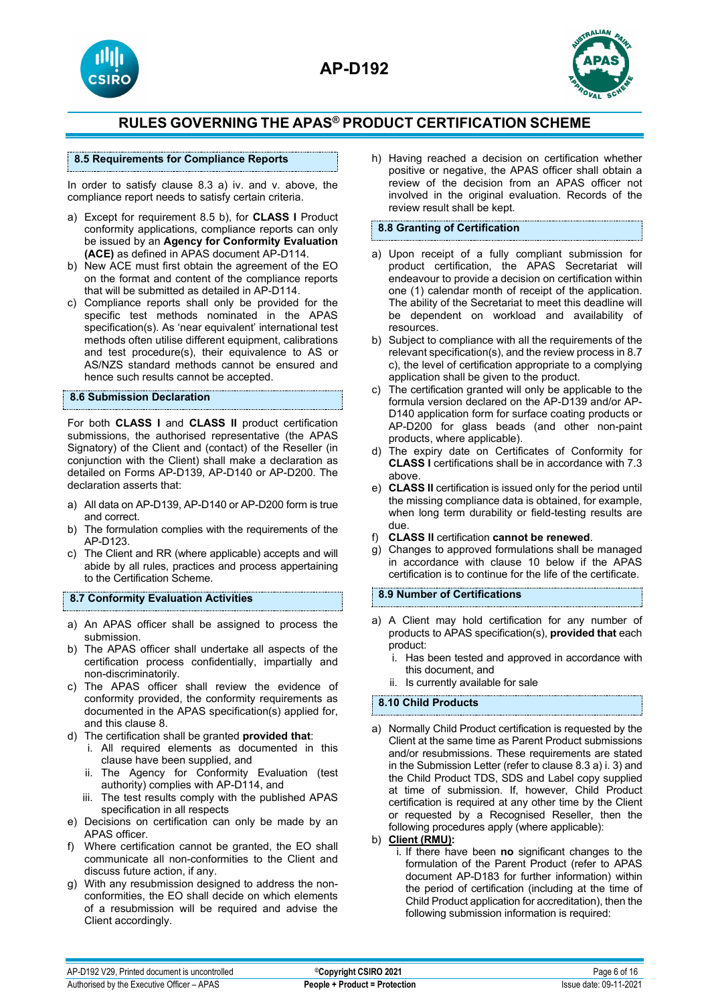





## **8.5 Requirements for Compliance Reports**

In order to satisfy clause 8.3 a) iv. and v. above, the compliance report needs to satisfy certain criteria.

- a) Except for requirement 8.5 b), for **CLASS I** Product conformity applications, compliance reports can only be issued by an **Agency for Conformity Evaluation (ACE)** as defined in APAS document AP-D114.
- b) New ACE must first obtain the agreement of the EO on the format and content of the compliance reports that will be submitted as detailed in AP-D114.
- c) Compliance reports shall only be provided for the specific test methods nominated in the APAS specification(s). As 'near equivalent' international test methods often utilise different equipment, calibrations and test procedure(s), their equivalence to AS or AS/NZS standard methods cannot be ensured and hence such results cannot be accepted.

#### **8.6 Submission Declaration**

For both **CLASS I** and **CLASS II** product certification submissions, the authorised representative (the APAS Signatory) of the Client and (contact) of the Reseller (in conjunction with the Client) shall make a declaration as detailed on Forms AP-D139, AP-D140 or AP-D200. The declaration asserts that:

- a) All data on AP-D139, AP-D140 or AP-D200 form is true and correct.
- b) The formulation complies with the requirements of the AP-D123.
- c) The Client and RR (where applicable) accepts and will abide by all rules, practices and process appertaining to the Certification Scheme.

**8.7 Conformity Evaluation Activities**

- a) An APAS officer shall be assigned to process the submission.
- b) The APAS officer shall undertake all aspects of the certification process confidentially, impartially and non-discriminatorily.
- c) The APAS officer shall review the evidence of conformity provided, the conformity requirements as documented in the APAS specification(s) applied for, and this clause 8.
- d) The certification shall be granted **provided that**:
	- i. All required elements as documented in this clause have been supplied, and
	- ii. The Agency for Conformity Evaluation (test authority) complies with AP-D114, and
	- iii. The test results comply with the published APAS specification in all respects
- e) Decisions on certification can only be made by an APAS officer.
- f) Where certification cannot be granted, the EO shall communicate all non-conformities to the Client and discuss future action, if any.
- g) With any resubmission designed to address the nonconformities, the EO shall decide on which elements of a resubmission will be required and advise the Client accordingly.

h) Having reached a decision on certification whether positive or negative, the APAS officer shall obtain a review of the decision from an APAS officer not involved in the original evaluation. Records of the review result shall be kept.

## **8.8 Granting of Certification**

- a) Upon receipt of a fully compliant submission for product certification, the APAS Secretariat will endeavour to provide a decision on certification within one (1) calendar month of receipt of the application. The ability of the Secretariat to meet this deadline will be dependent on workload and availability of resources.
- b) Subject to compliance with all the requirements of the relevant specification(s), and the review process in 8.7 c), the level of certification appropriate to a complying application shall be given to the product.
- c) The certification granted will only be applicable to the formula version declared on the AP-D139 and/or AP-D140 application form for surface coating products or AP-D200 for glass beads (and other non-paint products, where applicable).
- d) The expiry date on Certificates of Conformity for **CLASS I** certifications shall be in accordance with 7.3 above.
- e) **CLASS II** certification is issued only for the period until the missing compliance data is obtained, for example, when long term durability or field-testing results are due.
- f) **CLASS II** certification **cannot be renewed**.
- g) Changes to approved formulations shall be managed in accordance with clause 10 below if the APAS certification is to continue for the life of the certificate.

## **8.9 Number of Certifications**

- a) A Client may hold certification for any number of products to APAS specification(s), **provided that** each product:
	- i. Has been tested and approved in accordance with this document, and
	- ii. Is currently available for sale

## **8.10 Child Products**

a) Normally Child Product certification is requested by the Client at the same time as Parent Product submissions and/or resubmissions. These requirements are stated in the Submission Letter (refer to clause 8.3 a) i. 3) and the Child Product TDS, SDS and Label copy supplied at time of submission. If, however, Child Product certification is required at any other time by the Client or requested by a Recognised Reseller, then the following procedures apply (where applicable):

## b) **Client (RMU):**

i. If there have been **no** significant changes to the formulation of the Parent Product (refer to APAS document AP-D183 for further information) within the period of certification (including at the time of Child Product application for accreditation), then the following submission information is required: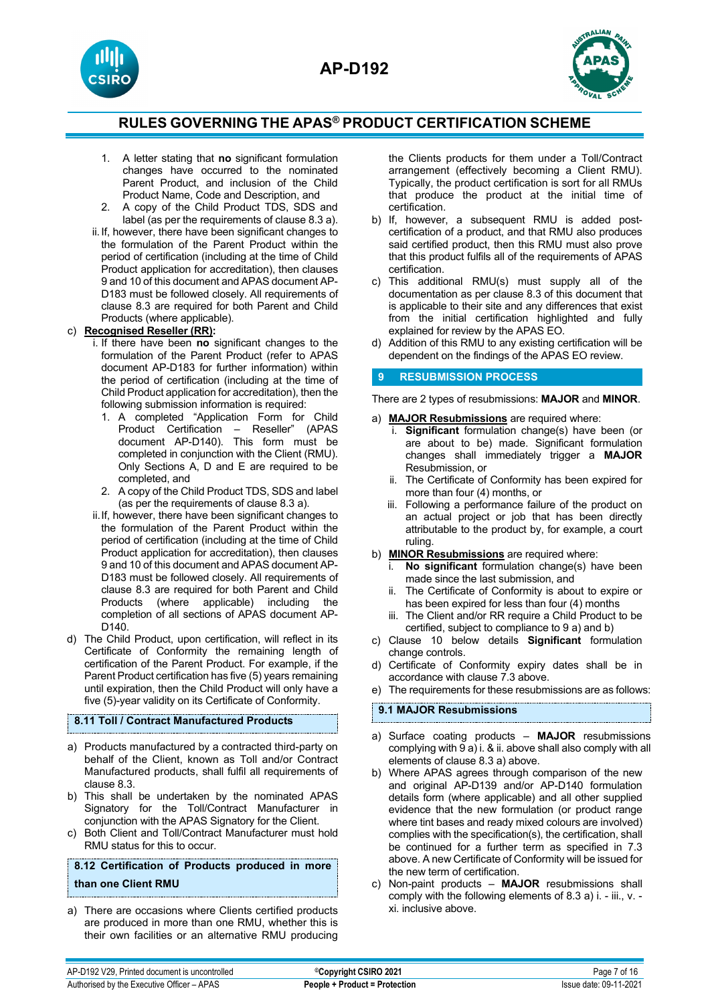



- 1. A letter stating that **no** significant formulation changes have occurred to the nominated Parent Product, and inclusion of the Child Product Name, Code and Description, and
- 2. A copy of the Child Product TDS, SDS and label (as per the requirements of clause 8.3 a).
- ii.If, however, there have been significant changes to the formulation of the Parent Product within the period of certification (including at the time of Child Product application for accreditation), then clauses 9 and 10 of this document and APAS document AP-D183 must be followed closely. All requirements of clause 8.3 are required for both Parent and Child Products (where applicable).

## c) **Recognised Reseller (RR):**

- i. If there have been **no** significant changes to the formulation of the Parent Product (refer to APAS document AP-D183 for further information) within the period of certification (including at the time of Child Product application for accreditation), then the following submission information is required:
	- 1. A completed "Application Form for Child Product Certification – Reseller" (APAS document AP-D140). This form must be completed in conjunction with the Client (RMU). Only Sections A, D and E are required to be completed, and
	- 2. A copy of the Child Product TDS, SDS and label (as per the requirements of clause 8.3 a).
- ii.If, however, there have been significant changes to the formulation of the Parent Product within the period of certification (including at the time of Child Product application for accreditation), then clauses 9 and 10 of this document and APAS document AP-D183 must be followed closely. All requirements of clause 8.3 are required for both Parent and Child Products (where applicable) including the completion of all sections of APAS document AP-D140.
- d) The Child Product, upon certification, will reflect in its Certificate of Conformity the remaining length of certification of the Parent Product. For example, if the Parent Product certification has five (5) years remaining until expiration, then the Child Product will only have a five (5)-year validity on its Certificate of Conformity.

## **8.11 Toll / Contract Manufactured Products**

- a) Products manufactured by a contracted third-party on behalf of the Client, known as Toll and/or Contract Manufactured products, shall fulfil all requirements of clause 8.3.
- b) This shall be undertaken by the nominated APAS Signatory for the Toll/Contract Manufacturer in conjunction with the APAS Signatory for the Client.
- c) Both Client and Toll/Contract Manufacturer must hold RMU status for this to occur.

## **8.12 Certification of Products produced in more than one Client RMU**

a) There are occasions where Clients certified products are produced in more than one RMU, whether this is their own facilities or an alternative RMU producing the Clients products for them under a Toll/Contract arrangement (effectively becoming a Client RMU). Typically, the product certification is sort for all RMUs that produce the product at the initial time of certification.

- b) If, however, a subsequent RMU is added postcertification of a product, and that RMU also produces said certified product, then this RMU must also prove that this product fulfils all of the requirements of APAS certification.
- c) This additional RMU(s) must supply all of the documentation as per clause 8.3 of this document that is applicable to their site and any differences that exist from the initial certification highlighted and fully explained for review by the APAS EO.
- d) Addition of this RMU to any existing certification will be dependent on the findings of the APAS EO review.

#### **9 RESUBMISSION PROCESS**

There are 2 types of resubmissions: **MAJOR** and **MINOR**.

- a) **MAJOR Resubmissions** are required where:
	- i. **Significant** formulation change(s) have been (or are about to be) made. Significant formulation changes shall immediately trigger a **MAJOR** Resubmission, or
	- ii. The Certificate of Conformity has been expired for more than four (4) months, or
	- iii. Following a performance failure of the product on an actual project or job that has been directly attributable to the product by, for example, a court ruling.
- b) **MINOR Resubmissions** are required where:
	- No significant formulation change(s) have been made since the last submission, and
	- ii. The Certificate of Conformity is about to expire or has been expired for less than four (4) months
	- iii. The Client and/or RR require a Child Product to be certified, subject to compliance to 9 a) and b)
- c) Clause 10 below details **Significant** formulation change controls.
- d) Certificate of Conformity expiry dates shall be in accordance with clause 7.3 above.
- e) The requirements for these resubmissions are as follows:

## **9.1 MAJOR Resubmissions**

- a) Surface coating products **MAJOR** resubmissions complying with 9 a) i. & ii. above shall also comply with all elements of clause 8.3 a) above.
- b) Where APAS agrees through comparison of the new and original AP-D139 and/or AP-D140 formulation details form (where applicable) and all other supplied evidence that the new formulation (or product range where tint bases and ready mixed colours are involved) complies with the specification(s), the certification, shall be continued for a further term as specified in 7.3 above. A new Certificate of Conformity will be issued for the new term of certification.
- c) Non-paint products **MAJOR** resubmissions shall comply with the following elements of 8.3 a) i. - iii., v. xi. inclusive above.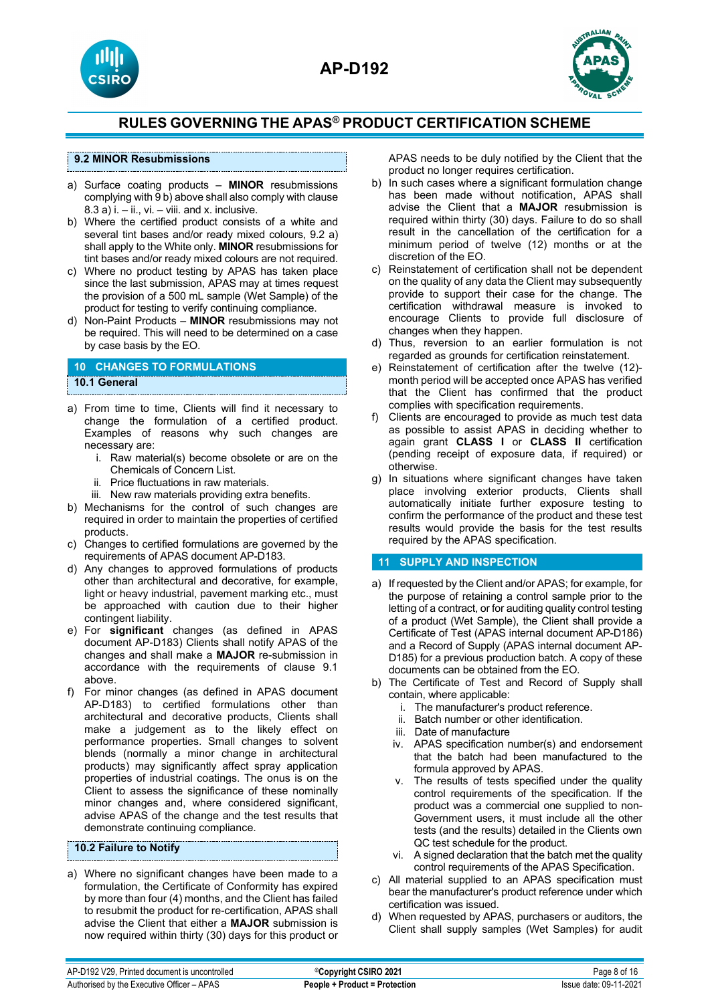





## **9.2 MINOR Resubmissions**

- a) Surface coating products **MINOR** resubmissions complying with 9 b) above shall also comply with clause  $8.3$  a) i.  $-$  ii., vi.  $-$  viii. and x. inclusive.
- b) Where the certified product consists of a white and several tint bases and/or ready mixed colours, 9.2 a) shall apply to the White only. **MINOR** resubmissions for tint bases and/or ready mixed colours are not required.
- c) Where no product testing by APAS has taken place since the last submission, APAS may at times request the provision of a 500 mL sample (Wet Sample) of the product for testing to verify continuing compliance.
- d) Non-Paint Products **MINOR** resubmissions may not be required. This will need to be determined on a case by case basis by the EO.

#### **10 CHANGES TO FORMULATIONS 10.1 General**

- a) From time to time, Clients will find it necessary to change the formulation of a certified product. Examples of reasons why such changes are necessary are:
	- i. Raw material(s) become obsolete or are on the Chemicals of Concern List.
	- ii. Price fluctuations in raw materials.
	- iii. New raw materials providing extra benefits.
- b) Mechanisms for the control of such changes are required in order to maintain the properties of certified products.
- c) Changes to certified formulations are governed by the requirements of APAS document AP-D183.
- d) Any changes to approved formulations of products other than architectural and decorative, for example, light or heavy industrial, pavement marking etc., must be approached with caution due to their higher contingent liability.
- e) For **significant** changes (as defined in APAS document AP-D183) Clients shall notify APAS of the changes and shall make a **MAJOR** re-submission in accordance with the requirements of clause 9.1 above.
- f) For minor changes (as defined in APAS document AP-D183) to certified formulations other than architectural and decorative products, Clients shall make a judgement as to the likely effect on performance properties. Small changes to solvent blends (normally a minor change in architectural products) may significantly affect spray application properties of industrial coatings. The onus is on the Client to assess the significance of these nominally minor changes and, where considered significant, advise APAS of the change and the test results that demonstrate continuing compliance.

#### **10.2 Failure to Notify**

a) Where no significant changes have been made to a formulation, the Certificate of Conformity has expired by more than four (4) months, and the Client has failed to resubmit the product for re-certification, APAS shall advise the Client that either a **MAJOR** submission is now required within thirty (30) days for this product or

APAS needs to be duly notified by the Client that the product no longer requires certification.

- b) In such cases where a significant formulation change has been made without notification, APAS shall advise the Client that a **MAJOR** resubmission is required within thirty (30) days. Failure to do so shall result in the cancellation of the certification for a minimum period of twelve (12) months or at the discretion of the EO.
- c) Reinstatement of certification shall not be dependent on the quality of any data the Client may subsequently provide to support their case for the change. The certification withdrawal measure is invoked to encourage Clients to provide full disclosure of changes when they happen.
- d) Thus, reversion to an earlier formulation is not regarded as grounds for certification reinstatement.
- e) Reinstatement of certification after the twelve (12) month period will be accepted once APAS has verified that the Client has confirmed that the product complies with specification requirements.
- f) Clients are encouraged to provide as much test data as possible to assist APAS in deciding whether to again grant **CLASS I** or **CLASS II** certification (pending receipt of exposure data, if required) or otherwise.
- g) In situations where significant changes have taken place involving exterior products, Clients shall automatically initiate further exposure testing to confirm the performance of the product and these test results would provide the basis for the test results required by the APAS specification.

## **11 SUPPLY AND INSPECTION**

- a) If requested by the Client and/or APAS; for example, for the purpose of retaining a control sample prior to the letting of a contract, or for auditing quality control testing of a product (Wet Sample), the Client shall provide a Certificate of Test (APAS internal document AP-D186) and a Record of Supply (APAS internal document AP-D185) for a previous production batch. A copy of these documents can be obtained from the EO.
- b) The Certificate of Test and Record of Supply shall contain, where applicable:
	- i. The manufacturer's product reference.
	- ii. Batch number or other identification.
	- iii. Date of manufacture
	- iv. APAS specification number(s) and endorsement that the batch had been manufactured to the formula approved by APAS.
	- v. The results of tests specified under the quality control requirements of the specification. If the product was a commercial one supplied to non-Government users, it must include all the other tests (and the results) detailed in the Clients own QC test schedule for the product.
	- vi. A signed declaration that the batch met the quality control requirements of the APAS Specification.
- c) All material supplied to an APAS specification must bear the manufacturer's product reference under which certification was issued.
- d) When requested by APAS, purchasers or auditors, the Client shall supply samples (Wet Samples) for audit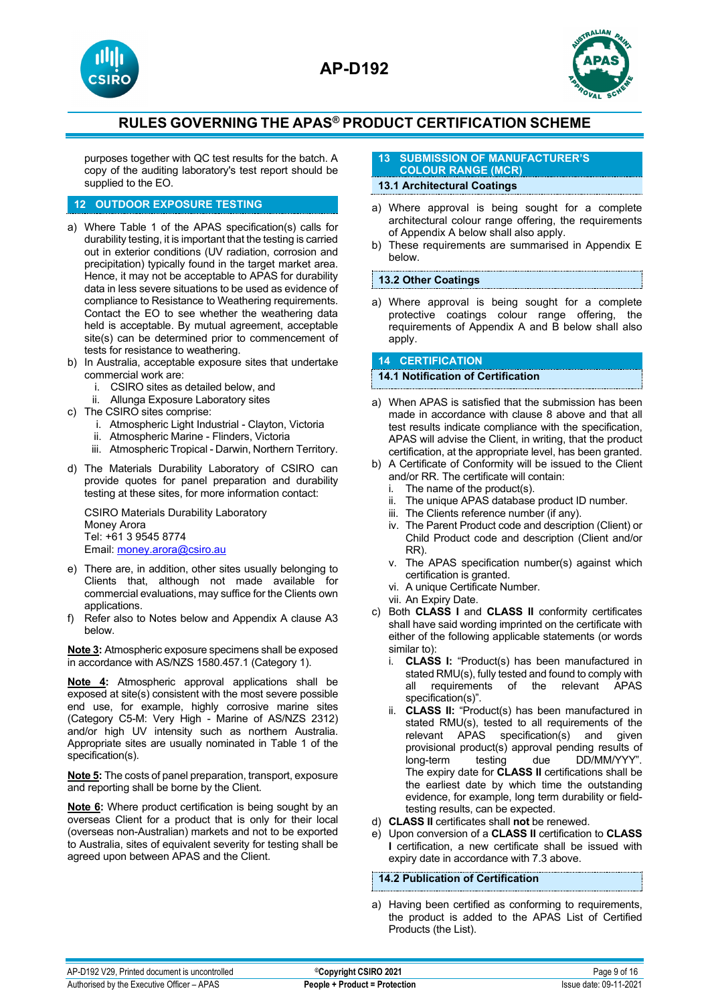





purposes together with QC test results for the batch. A copy of the auditing laboratory's test report should be supplied to the EO.

## **12 OUTDOOR EXPOSURE TESTING**

- a) Where Table 1 of the APAS specification(s) calls for durability testing, it is important that the testing is carried out in exterior conditions (UV radiation, corrosion and precipitation) typically found in the target market area. Hence, it may not be acceptable to APAS for durability data in less severe situations to be used as evidence of compliance to Resistance to Weathering requirements. Contact the EO to see whether the weathering data held is acceptable. By mutual agreement, acceptable site(s) can be determined prior to commencement of tests for resistance to weathering.
- b) In Australia, acceptable exposure sites that undertake commercial work are:
	- i. CSIRO sites as detailed below, and
	- ii. Allunga Exposure Laboratory sites
- c) The CSIRO sites comprise:
	- i. Atmospheric Light Industrial Clayton, Victoria
	- ii. Atmospheric Marine Flinders, Victoria
	- iii. Atmospheric Tropical Darwin, Northern Territory.
- d) The Materials Durability Laboratory of CSIRO can provide quotes for panel preparation and durability testing at these sites, for more information contact:

CSIRO Materials Durability Laboratory Money Arora Tel: +61 3 9545 8774 Email: [money.arora@csiro.au](mailto:money.arora@csiro.au)

- e) There are, in addition, other sites usually belonging to Clients that, although not made available for commercial evaluations, may suffice for the Clients own applications.
- f) Refer also to Notes below and Appendix A clause A3 below.

**Note 3:** Atmospheric exposure specimens shall be exposed in accordance with AS/NZS 1580.457.1 (Category 1).

**Note 4:** Atmospheric approval applications shall be exposed at site(s) consistent with the most severe possible end use, for example, highly corrosive marine sites (Category C5-M: Very High - Marine of AS/NZS 2312) and/or high UV intensity such as northern Australia. Appropriate sites are usually nominated in Table 1 of the specification(s).

**Note 5:** The costs of panel preparation, transport, exposure and reporting shall be borne by the Client.

**Note 6:** Where product certification is being sought by an overseas Client for a product that is only for their local (overseas non-Australian) markets and not to be exported to Australia, sites of equivalent severity for testing shall be agreed upon between APAS and the Client.

#### **13 SUBMISSION OF MANUFACTURER'S COLOUR RANGE (MCR)**

# **13.1 Architectural Coatings**

- a) Where approval is being sought for a complete architectural colour range offering, the requirements of Appendix A below shall also apply.
- b) These requirements are summarised in Appendix E below.

#### **13.2 Other Coatings**

a) Where approval is being sought for a complete protective coatings colour range offering, the requirements of Appendix A and B below shall also apply.

## **14 CERTIFICATION**

#### **14.1 Notification of Certification**

- a) When APAS is satisfied that the submission has been made in accordance with clause 8 above and that all test results indicate compliance with the specification, APAS will advise the Client, in writing, that the product certification, at the appropriate level, has been granted.
- b) A Certificate of Conformity will be issued to the Client and/or RR. The certificate will contain:<br>i. The name of the product(s).<br>ii. The unique APAS database produc
	- The name of the product(s).
	- The unique APAS database product ID number.
	- iii. The Clients reference number (if any).
	- iv. The Parent Product code and description (Client) or Child Product code and description (Client and/or RR).
	- v. The APAS specification number(s) against which certification is granted.
	- vi. A unique Certificate Number.
	- vii. An Expiry Date.
- c) Both **CLASS I** and **CLASS II** conformity certificates shall have said wording imprinted on the certificate with either of the following applicable statements (or words similar to):
	- i. **CLASS I:** "Product(s) has been manufactured in stated RMU(s), fully tested and found to comply with<br>all requirements of the relevant APAS requirements of the relevant APAS specification(s)".
	- ii. **CLASS II:** "Product(s) has been manufactured in stated RMU(s), tested to all requirements of the relevant APAS specification(s) and given provisional product(s) approval pending results of<br>long-term testing due DD/MM/YYY". testing due DD/MM/YYY". The expiry date for **CLASS II** certifications shall be the earliest date by which time the outstanding evidence, for example, long term durability or fieldtesting results, can be expected.
- d) **CLASS II** certificates shall **not** be renewed.
- e) Upon conversion of a **CLASS II** certification to **CLASS I** certification, a new certificate shall be issued with expiry date in accordance with 7.3 above.

## **14.2 Publication of Certification**

a) Having been certified as conforming to requirements, the product is added to the APAS List of Certified Products (the List).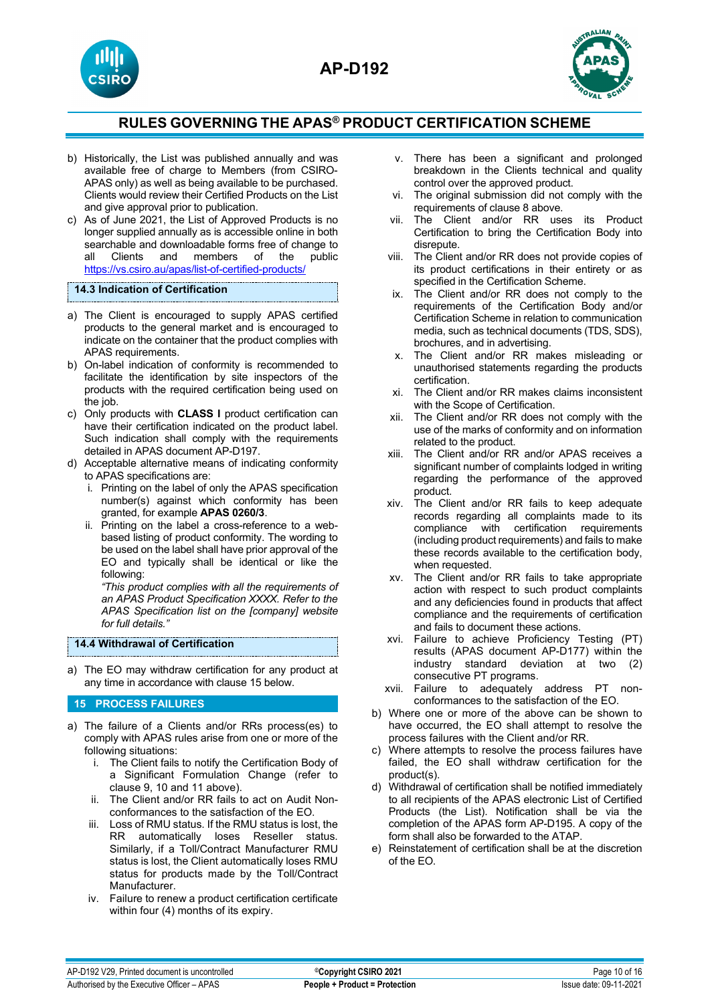



- b) Historically, the List was published annually and was available free of charge to Members (from CSIRO-APAS only) as well as being available to be purchased. Clients would review their Certified Products on the List and give approval prior to publication.
- c) As of June 2021, the List of Approved Products is no longer supplied annually as is accessible online in both searchable and downloadable forms free of change to<br>all Clients and members of the public all Clients and members of the public <https://vs.csiro.au/apas/list-of-certified-products/>

#### **14.3 Indication of Certification**

- a) The Client is encouraged to supply APAS certified products to the general market and is encouraged to indicate on the container that the product complies with APAS requirements.
- b) On-label indication of conformity is recommended to facilitate the identification by site inspectors of the products with the required certification being used on the job.
- c) Only products with **CLASS I** product certification can have their certification indicated on the product label. Such indication shall comply with the requirements detailed in APAS document AP-D197.
- d) Acceptable alternative means of indicating conformity to APAS specifications are:
	- i. Printing on the label of only the APAS specification number(s) against which conformity has been granted, for example **APAS 0260/3**.
	- ii. Printing on the label a cross-reference to a webbased listing of product conformity. The wording to be used on the label shall have prior approval of the EO and typically shall be identical or like the following:

*"This product complies with all the requirements of an APAS Product Specification XXXX. Refer to the APAS Specification list on the [company] website for full details."*

## **14.4 Withdrawal of Certification**

a) The EO may withdraw certification for any product at any time in accordance with clause 15 below.

## **15 PROCESS FAILURES**

- a) The failure of a Clients and/or RRs process(es) to comply with APAS rules arise from one or more of the following situations:
	- i. The Client fails to notify the Certification Body of a Significant Formulation Change (refer to clause 9, 10 and 11 above).
	- ii. The Client and/or RR fails to act on Audit Nonconformances to the satisfaction of the EO.
	- iii. Loss of RMU status. If the RMU status is lost, the RR automatically loses Reseller status. Similarly, if a Toll/Contract Manufacturer RMU status is lost, the Client automatically loses RMU status for products made by the Toll/Contract Manufacturer.
	- iv. Failure to renew a product certification certificate within four (4) months of its expiry.
- v. There has been a significant and prolonged breakdown in the Clients technical and quality control over the approved product.
- vi. The original submission did not comply with the requirements of clause 8 above.
- vii. The Client and/or RR uses its Product Certification to bring the Certification Body into disrepute.
- viii. The Client and/or RR does not provide copies of its product certifications in their entirety or as specified in the Certification Scheme.
- ix. The Client and/or RR does not comply to the requirements of the Certification Body and/or Certification Scheme in relation to communication media, such as technical documents (TDS, SDS), brochures, and in advertising.
- x. The Client and/or RR makes misleading or unauthorised statements regarding the products certification.
- xi. The Client and/or RR makes claims inconsistent with the Scope of Certification.
- xii. The Client and/or RR does not comply with the use of the marks of conformity and on information related to the product.
- xiii. The Client and/or RR and/or APAS receives a significant number of complaints lodged in writing regarding the performance of the approved product.
- xiv. The Client and/or RR fails to keep adequate records regarding all complaints made to its compliance with certification requirements (including product requirements) and fails to make these records available to the certification body, when requested.
- xv. The Client and/or RR fails to take appropriate action with respect to such product complaints and any deficiencies found in products that affect compliance and the requirements of certification and fails to document these actions.
- xvi. Failure to achieve Proficiency Testing (PT) results (APAS document AP-D177) within the industry standard deviation at two (2) consecutive PT programs.
- xvii. Failure to adequately address PT nonconformances to the satisfaction of the EO.
- b) Where one or more of the above can be shown to have occurred, the EO shall attempt to resolve the process failures with the Client and/or RR.
- c) Where attempts to resolve the process failures have failed, the EO shall withdraw certification for the product(s).
- d) Withdrawal of certification shall be notified immediately to all recipients of the APAS electronic List of Certified Products (the List). Notification shall be via the completion of the APAS form AP-D195. A copy of the form shall also be forwarded to the ATAP.
- Reinstatement of certification shall be at the discretion of the EO.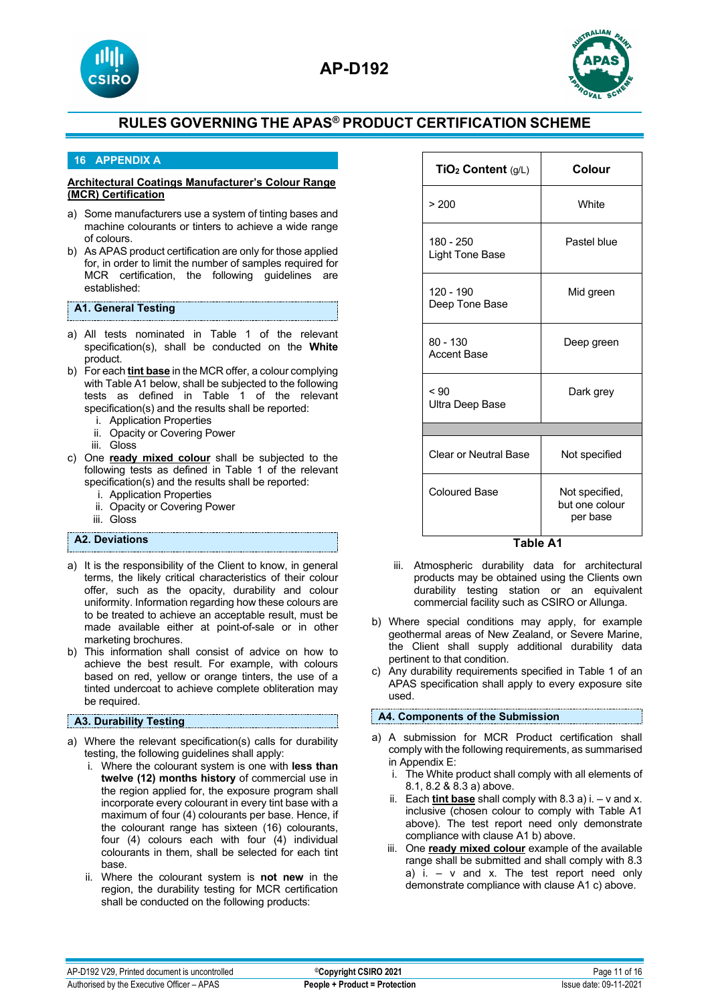



## **16 APPENDIX A**

#### **Architectural Coatings Manufacturer's Colour Range (MCR) Certification**

- a) Some manufacturers use a system of tinting bases and machine colourants or tinters to achieve a wide range of colours.
- b) As APAS product certification are only for those applied for, in order to limit the number of samples required for MCR certification, the following guidelines are established:

## **A1. General Testing**

- a) All tests nominated in Table 1 of the relevant specification(s), shall be conducted on the **White** product.
- b) For each **tint base** in the MCR offer, a colour complying with Table A1 below, shall be subjected to the following tests as defined in Table 1 of the relevant specification(s) and the results shall be reported:
	- i. Application Properties
	- ii. Opacity or Covering Power
	- iii. Gloss
- c) One **ready mixed colour** shall be subjected to the following tests as defined in Table 1 of the relevant specification(s) and the results shall be reported:
	- i. Application Properties
	- ii. Opacity or Covering Power
	- iii. Gloss

## **A2. Deviations**

- a) It is the responsibility of the Client to know, in general terms, the likely critical characteristics of their colour offer, such as the opacity, durability and colour uniformity. Information regarding how these colours are to be treated to achieve an acceptable result, must be made available either at point-of-sale or in other marketing brochures.
- b) This information shall consist of advice on how to achieve the best result. For example, with colours based on red, yellow or orange tinters, the use of a tinted undercoat to achieve complete obliteration may be required.

#### **A3. Durability Testing**

- a) Where the relevant specification(s) calls for durability testing, the following guidelines shall apply:
	- i. Where the colourant system is one with **less than twelve (12) months history** of commercial use in the region applied for, the exposure program shall incorporate every colourant in every tint base with a maximum of four (4) colourants per base. Hence, if the colourant range has sixteen (16) colourants, four (4) colours each with four (4) individual colourants in them, shall be selected for each tint base.
	- ii. Where the colourant system is **not new** in the region, the durability testing for MCR certification shall be conducted on the following products:

| TiO <sub>2</sub> Content (g/L)   | Colour                                       |  |  |
|----------------------------------|----------------------------------------------|--|--|
| > 200                            | White                                        |  |  |
| 180 - 250<br>Light Tone Base     | Pastel blue                                  |  |  |
| 120 - 190<br>Deep Tone Base      | Mid green                                    |  |  |
| $80 - 130$<br><b>Accent Base</b> | Deep green                                   |  |  |
| ~< 90<br>Ultra Deep Base         | Dark grey                                    |  |  |
|                                  |                                              |  |  |
| <b>Clear or Neutral Base</b>     | Not specified                                |  |  |
| <b>Coloured Base</b>             | Not specified,<br>but one colour<br>per base |  |  |

 **Table A1**

- iii. Atmospheric durability data for architectural products may be obtained using the Clients own durability testing station or an equivalent commercial facility such as CSIRO or Allunga.
- b) Where special conditions may apply, for example geothermal areas of New Zealand, or Severe Marine, the Client shall supply additional durability data pertinent to that condition.
- c) Any durability requirements specified in Table 1 of an APAS specification shall apply to every exposure site used.

## **A4. Components of the Submission**

- a) A submission for MCR Product certification shall comply with the following requirements, as summarised in Appendix E:
	- i. The White product shall comply with all elements of 8.1, 8.2 & 8.3 a) above.
	- ii. Each **tint base** shall comply with 8.3 a) i. v and x. inclusive (chosen colour to comply with Table A1 above). The test report need only demonstrate compliance with clause A1 b) above.
	- iii. One **ready mixed colour** example of the available range shall be submitted and shall comply with 8.3 a) i.  $-$  v and x. The test report need only demonstrate compliance with clause A1 c) above.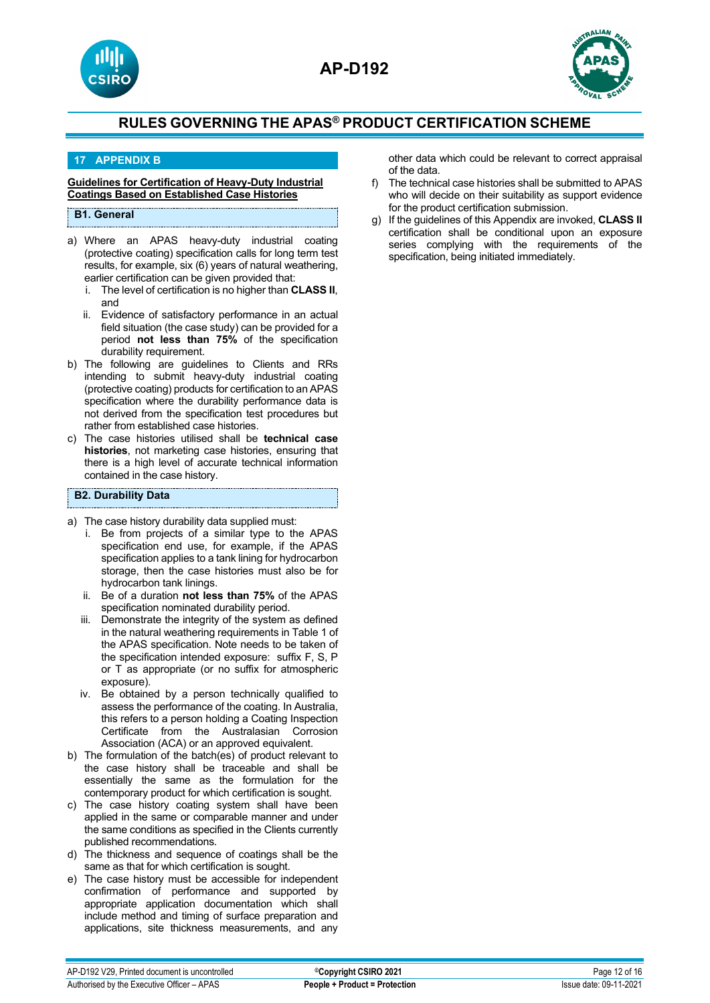



## **17 APPENDIX B**

#### **Guidelines for Certification of Heavy-Duty Industrial Coatings Based on Established Case Histories**

## **B1. General**

- a) Where an APAS heavy-duty industrial coating (protective coating) specification calls for long term test results, for example, six (6) years of natural weathering, earlier certification can be given provided that:
	- i. The level of certification is no higher than **CLASS II**, and
	- ii. Evidence of satisfactory performance in an actual field situation (the case study) can be provided for a period **not less than 75%** of the specification durability requirement.
- b) The following are guidelines to Clients and RRs intending to submit heavy-duty industrial coating (protective coating) products for certification to an APAS specification where the durability performance data is not derived from the specification test procedures but rather from established case histories.
- c) The case histories utilised shall be **technical case histories**, not marketing case histories, ensuring that there is a high level of accurate technical information contained in the case history.

#### **B2. Durability Data**

- a) The case history durability data supplied must:
	- i. Be from projects of a similar type to the APAS specification end use, for example, if the APAS specification applies to a tank lining for hydrocarbon storage, then the case histories must also be for hydrocarbon tank linings.
	- ii. Be of a duration **not less than 75%** of the APAS specification nominated durability period.
	- iii. Demonstrate the integrity of the system as defined in the natural weathering requirements in Table 1 of the APAS specification. Note needs to be taken of the specification intended exposure: suffix F, S, P or T as appropriate (or no suffix for atmospheric exposure).
	- iv. Be obtained by a person technically qualified to assess the performance of the coating. In Australia, this refers to a person holding a Coating Inspection Certificate from the Australasian Corrosion Association (ACA) or an approved equivalent.
- b) The formulation of the batch(es) of product relevant to the case history shall be traceable and shall be essentially the same as the formulation for the contemporary product for which certification is sought.
- c) The case history coating system shall have been applied in the same or comparable manner and under the same conditions as specified in the Clients currently published recommendations.
- d) The thickness and sequence of coatings shall be the same as that for which certification is sought.
- e) The case history must be accessible for independent confirmation of performance and supported by appropriate application documentation which shall include method and timing of surface preparation and applications, site thickness measurements, and any

other data which could be relevant to correct appraisal of the data.

- f) The technical case histories shall be submitted to APAS who will decide on their suitability as support evidence for the product certification submission.
- g) If the guidelines of this Appendix are invoked, **CLASS II**  certification shall be conditional upon an exposure series complying with the requirements of the specification, being initiated immediately.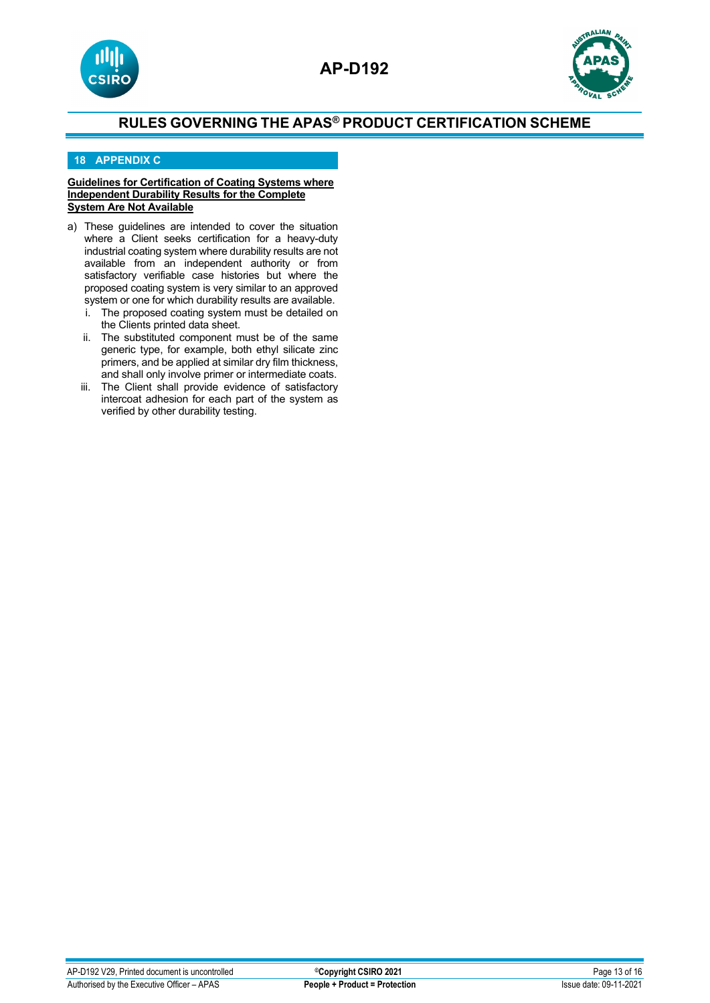



## **18 APPENDIX C**

#### **Guidelines for Certification of Coating Systems where Independent Durability Results for the Complete System Are Not Available**

- a) These guidelines are intended to cover the situation where a Client seeks certification for a heavy-duty industrial coating system where durability results are not available from an independent authority or from satisfactory verifiable case histories but where the proposed coating system is very similar to an approved system or one for which durability results are available.<br>The proposed coating system must be detailed on
	- The proposed coating system must be detailed on the Clients printed data sheet.
	- ii. The substituted component must be of the same generic type, for example, both ethyl silicate zinc primers, and be applied at similar dry film thickness, and shall only involve primer or intermediate coats.
	- iii. The Client shall provide evidence of satisfactory intercoat adhesion for each part of the system as verified by other durability testing.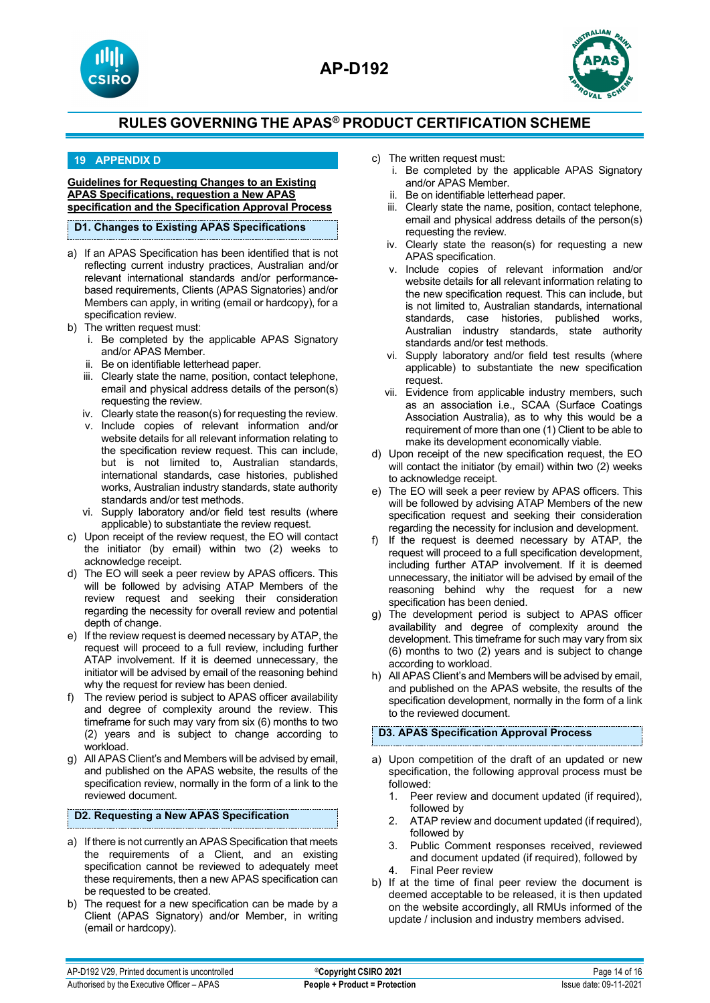





## **19 APPENDIX D**

**Guidelines for Requesting Changes to an Existing APAS Specifications, requestion a New APAS specification and the Specification Approval Process**

#### **D1. Changes to Existing APAS Specifications**

- a) If an APAS Specification has been identified that is not reflecting current industry practices, Australian and/or relevant international standards and/or performancebased requirements, Clients (APAS Signatories) and/or Members can apply, in writing (email or hardcopy), for a specification review.
- b) The written request must:
	- i. Be completed by the applicable APAS Signatory and/or APAS Member.
	- ii. Be on identifiable letterhead paper.
	- iii. Clearly state the name, position, contact telephone, email and physical address details of the person(s) requesting the review.
	- iv. Clearly state the reason(s) for requesting the review.
	- v. Include copies of relevant information and/or website details for all relevant information relating to the specification review request. This can include, but is not limited to, Australian standards, international standards, case histories, published works, Australian industry standards, state authority standards and/or test methods.
	- vi. Supply laboratory and/or field test results (where applicable) to substantiate the review request.
- c) Upon receipt of the review request, the EO will contact the initiator (by email) within two (2) weeks to acknowledge receipt.
- d) The EO will seek a peer review by APAS officers. This will be followed by advising ATAP Members of the review request and seeking their consideration regarding the necessity for overall review and potential depth of change.
- e) If the review request is deemed necessary by ATAP, the request will proceed to a full review, including further ATAP involvement. If it is deemed unnecessary, the initiator will be advised by email of the reasoning behind why the request for review has been denied.
- f) The review period is subject to APAS officer availability and degree of complexity around the review. This timeframe for such may vary from six (6) months to two (2) years and is subject to change according to workload.
- g) All APAS Client's and Members will be advised by email, and published on the APAS website, the results of the specification review, normally in the form of a link to the reviewed document.

## **D2. Requesting a New APAS Specification**

- a) If there is not currently an APAS Specification that meets the requirements of a Client, and an existing specification cannot be reviewed to adequately meet these requirements, then a new APAS specification can be requested to be created.
- b) The request for a new specification can be made by a Client (APAS Signatory) and/or Member, in writing (email or hardcopy).
- c) The written request must:
	- i. Be completed by the applicable APAS Signatory and/or APAS Member.
	- ii. Be on identifiable letterhead paper.
	- iii. Clearly state the name, position, contact telephone, email and physical address details of the person(s) requesting the review.
	- iv. Clearly state the reason(s) for requesting a new APAS specification.
	- v. Include copies of relevant information and/or website details for all relevant information relating to the new specification request. This can include, but is not limited to, Australian standards, international standards, case histories, published works, Australian industry standards, state authority standards and/or test methods.
	- vi. Supply laboratory and/or field test results (where applicable) to substantiate the new specification request.
	- vii. Evidence from applicable industry members, such as an association i.e., SCAA (Surface Coatings Association Australia), as to why this would be a requirement of more than one (1) Client to be able to make its development economically viable.
- d) Upon receipt of the new specification request, the EO will contact the initiator (by email) within two (2) weeks to acknowledge receipt.
- e) The EO will seek a peer review by APAS officers. This will be followed by advising ATAP Members of the new specification request and seeking their consideration regarding the necessity for inclusion and development.
- f) If the request is deemed necessary by ATAP, the request will proceed to a full specification development, including further ATAP involvement. If it is deemed unnecessary, the initiator will be advised by email of the reasoning behind why the request for a new specification has been denied.
- g) The development period is subject to APAS officer availability and degree of complexity around the development. This timeframe for such may vary from six (6) months to two (2) years and is subject to change according to workload.
- h) All APAS Client's and Members will be advised by email, and published on the APAS website, the results of the specification development, normally in the form of a link to the reviewed document.

## **D3. APAS Specification Approval Process**

- a) Upon competition of the draft of an updated or new specification, the following approval process must be followed:
	- 1. Peer review and document updated (if required), followed by
	- 2. ATAP review and document updated (if required), followed by
	- 3. Public Comment responses received, reviewed and document updated (if required), followed by 4. Final Peer review
- b) If at the time of final peer review the document is deemed acceptable to be released, it is then updated on the website accordingly, all RMUs informed of the update / inclusion and industry members advised.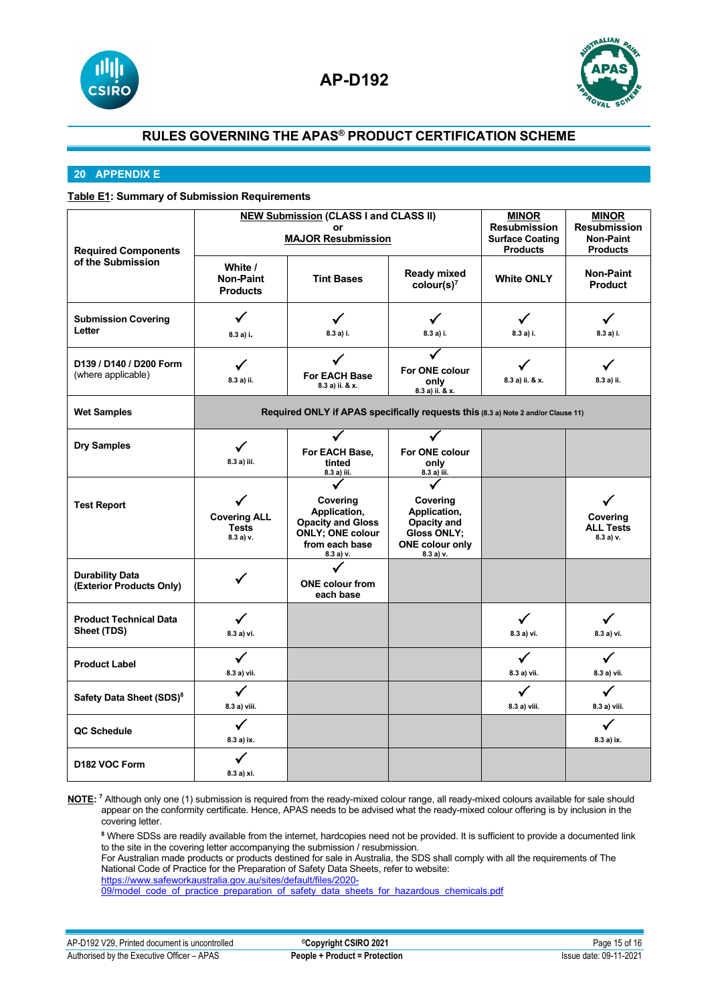



## **20 APPENDIX E**

## **Table E1: Summary of Submission Requirements**

|                                                 | <b>NEW Submission (CLASS I and CLASS II)</b> |                                                                                   |                            | <b>MINOR</b>           | <b>MINOR</b>        |
|-------------------------------------------------|----------------------------------------------|-----------------------------------------------------------------------------------|----------------------------|------------------------|---------------------|
|                                                 | or                                           |                                                                                   |                            | <b>Resubmission</b>    | <b>Resubmission</b> |
|                                                 | <b>MAJOR Resubmission</b>                    |                                                                                   |                            | <b>Surface Coating</b> | <b>Non-Paint</b>    |
| <b>Required Components</b><br>of the Submission |                                              |                                                                                   |                            | <b>Products</b>        | <b>Products</b>     |
|                                                 | White /                                      |                                                                                   | <b>Ready mixed</b>         |                        | Non-Paint           |
|                                                 | <b>Non-Paint</b>                             | <b>Tint Bases</b>                                                                 | color(s) <sup>7</sup>      | <b>White ONLY</b>      | <b>Product</b>      |
|                                                 | <b>Products</b>                              |                                                                                   |                            |                        |                     |
|                                                 | ✓                                            |                                                                                   |                            | $\checkmark$           |                     |
| <b>Submission Covering</b><br>Letter            |                                              | ✓                                                                                 | $\checkmark$               |                        | ✓                   |
|                                                 | 8.3 a) i.                                    | 8.3 a) i.                                                                         | 8.3 a) i.                  | 8.3 a) i.              | 8.3 a) i.           |
|                                                 |                                              |                                                                                   |                            |                        |                     |
| D139 / D140 / D200 Form                         | ✓                                            |                                                                                   | For ONE colour             |                        |                     |
| (where applicable)                              | 8.3 a) ii.                                   | <b>For EACH Base</b><br>8.3 a) ii. & x.                                           | only                       | 8.3 a) ii. & x.        | 8.3 a) ii.          |
|                                                 |                                              |                                                                                   | 8.3 a) ii. & x.            |                        |                     |
| <b>Wet Samples</b>                              |                                              | Required ONLY if APAS specifically requests this (8.3 a) Note 2 and/or Clause 11) |                            |                        |                     |
|                                                 |                                              |                                                                                   |                            |                        |                     |
| <b>Dry Samples</b>                              | ✓                                            | For EACH Base,                                                                    | For ONE colour             |                        |                     |
|                                                 | 8.3 a) iii.                                  | tinted                                                                            | only                       |                        |                     |
|                                                 |                                              | 8.3 a) iii.                                                                       | 8.3 a) iii.                |                        |                     |
|                                                 |                                              |                                                                                   |                            |                        |                     |
| <b>Test Report</b>                              |                                              | Covering                                                                          | Covering                   |                        |                     |
|                                                 | <b>Covering ALL</b>                          | Application,                                                                      | Application,               |                        | Covering            |
|                                                 | <b>Tests</b>                                 | <b>Opacity and Gloss</b><br>ONLY; ONE colour                                      | Opacity and<br>Gloss ONLY; |                        | <b>ALL Tests</b>    |
|                                                 | 8.3a) v.                                     | from each base                                                                    | <b>ONE colour only</b>     |                        | 8.3a) v.            |
|                                                 |                                              | 8.3 a) v.                                                                         | 8.3 a) v.                  |                        |                     |
| <b>Durability Data</b>                          |                                              | ✓                                                                                 |                            |                        |                     |
| (Exterior Products Only)                        | ✓                                            | <b>ONE</b> colour from                                                            |                            |                        |                     |
|                                                 |                                              | each base                                                                         |                            |                        |                     |
| <b>Product Technical Data</b>                   | ✓                                            |                                                                                   |                            | $\checkmark$           | $\checkmark$        |
| Sheet (TDS)                                     |                                              |                                                                                   |                            |                        |                     |
|                                                 | 8.3 a) vi.                                   |                                                                                   |                            | 8.3 a) vi.             | 8.3 a) vi.          |
| <b>Product Label</b>                            | ✓                                            |                                                                                   |                            | ✓                      | $\checkmark$        |
|                                                 | 8.3 a) vii.                                  |                                                                                   |                            | 8.3 a) vii.            | 8.3 a) vii.         |
|                                                 |                                              |                                                                                   |                            |                        |                     |
| Safety Data Sheet (SDS) <sup>8</sup>            | ✓                                            |                                                                                   |                            | ✓                      | ✓                   |
|                                                 | 8.3 a) viii.                                 |                                                                                   |                            | 8.3 a) viii.           | 8.3 a) viii.        |
| QC Schedule                                     | $\checkmark$                                 |                                                                                   |                            |                        | ✓                   |
|                                                 | 8.3 a) ix.                                   |                                                                                   |                            |                        | 8.3 a) ix.          |
| D <sub>182</sub> VOC Form                       | ✓                                            |                                                                                   |                            |                        |                     |
|                                                 | 8.3 a) xi.                                   |                                                                                   |                            |                        |                     |
|                                                 |                                              |                                                                                   |                            |                        |                     |

**NOTE: <sup>7</sup>** Although only one (1) submission is required from the ready-mixed colour range, all ready-mixed colours available for sale should appear on the conformity certificate. Hence, APAS needs to be advised what the ready-mixed colour offering is by inclusion in the covering letter.

**<sup>8</sup>** Where SDSs are readily available from the internet, hardcopies need not be provided. It is sufficient to provide a documented link to the site in the covering letter accompanying the submission / resubmission.

For Australian made products or products destined for sale in Australia, the SDS shall comply with all the requirements of The National Code of Practice for the Preparation of Safety Data Sheets, refer to website:

[https://www.safeworkaustralia.gov.au/sites/default/files/2020-](https://www.safeworkaustralia.gov.au/sites/default/files/2020-09/model_code_of_practice_preparation_of_safety_data_sheets_for_hazardous_chemicals.pdf)

<u>[09/model\\_code\\_of\\_practice\\_preparation\\_of\\_safety\\_data\\_sheets\\_for\\_hazardous\\_chemicals.pdf](https://www.safeworkaustralia.gov.au/sites/default/files/2020-09/model_code_of_practice_preparation_of_safety_data_sheets_for_hazardous_chemicals.pdf)</u>